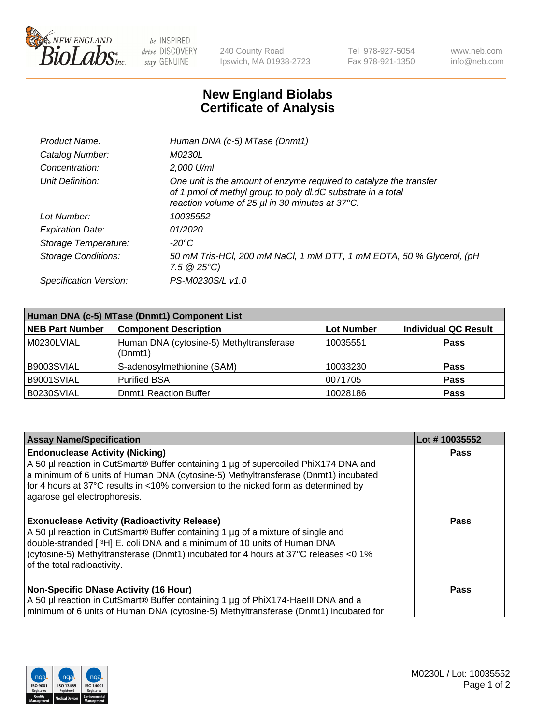

 $be$  INSPIRED drive DISCOVERY stay GENUINE

240 County Road Ipswich, MA 01938-2723 Tel 978-927-5054 Fax 978-921-1350 www.neb.com info@neb.com

## **New England Biolabs Certificate of Analysis**

| Product Name:                 | Human DNA (c-5) MTase (Dnmt1)                                                                                                                                                         |
|-------------------------------|---------------------------------------------------------------------------------------------------------------------------------------------------------------------------------------|
| Catalog Number:               | <i>M0230L</i>                                                                                                                                                                         |
| Concentration:                | 2,000 U/ml                                                                                                                                                                            |
| Unit Definition:              | One unit is the amount of enzyme required to catalyze the transfer<br>of 1 pmol of methyl group to poly dl.dC substrate in a total<br>reaction volume of 25 µl in 30 minutes at 37°C. |
| Lot Number:                   | 10035552                                                                                                                                                                              |
| <b>Expiration Date:</b>       | 01/2020                                                                                                                                                                               |
| Storage Temperature:          | -20°C                                                                                                                                                                                 |
| <b>Storage Conditions:</b>    | 50 mM Tris-HCl, 200 mM NaCl, 1 mM DTT, 1 mM EDTA, 50 % Glycerol, (pH<br>7.5 $@25°C$ )                                                                                                 |
| <b>Specification Version:</b> | PS-M0230S/L v1.0                                                                                                                                                                      |

| Human DNA (c-5) MTase (Dnmt1) Component List |                                                     |                   |                             |  |
|----------------------------------------------|-----------------------------------------------------|-------------------|-----------------------------|--|
| NEB Part Number                              | <b>Component Description</b>                        | <b>Lot Number</b> | <b>Individual QC Result</b> |  |
| M0230LVIAL                                   | Human DNA (cytosine-5) Methyltransferase<br>(Dnmt1) | 10035551          | Pass                        |  |
| B9003SVIAL                                   | S-adenosylmethionine (SAM)                          | 10033230          | <b>Pass</b>                 |  |
| B9001SVIAL                                   | <b>Purified BSA</b>                                 | 0071705           | <b>Pass</b>                 |  |
| B0230SVIAL                                   | <b>Domt1 Reaction Buffer</b>                        | 10028186          | <b>Pass</b>                 |  |

| <b>Assay Name/Specification</b>                                                                                                                                                                                                                                                                                                           | Lot #10035552 |
|-------------------------------------------------------------------------------------------------------------------------------------------------------------------------------------------------------------------------------------------------------------------------------------------------------------------------------------------|---------------|
| <b>Endonuclease Activity (Nicking)</b><br>A 50 µl reaction in CutSmart® Buffer containing 1 µg of supercoiled PhiX174 DNA and<br>a minimum of 6 units of Human DNA (cytosine-5) Methyltransferase (Dnmt1) incubated<br>for 4 hours at 37°C results in <10% conversion to the nicked form as determined by<br>agarose gel electrophoresis. | Pass          |
| <b>Exonuclease Activity (Radioactivity Release)</b><br>A 50 µl reaction in CutSmart® Buffer containing 1 µg of a mixture of single and<br>double-stranded [3H] E. coli DNA and a minimum of 10 units of Human DNA<br>(cytosine-5) Methyltransferase (Dnmt1) incubated for 4 hours at 37°C releases <0.1%<br>of the total radioactivity.   | <b>Pass</b>   |
| <b>Non-Specific DNase Activity (16 Hour)</b><br>A 50 µl reaction in CutSmart® Buffer containing 1 µg of PhiX174-HaellI DNA and a<br>minimum of 6 units of Human DNA (cytosine-5) Methyltransferase (Dnmt1) incubated for                                                                                                                  | Pass          |